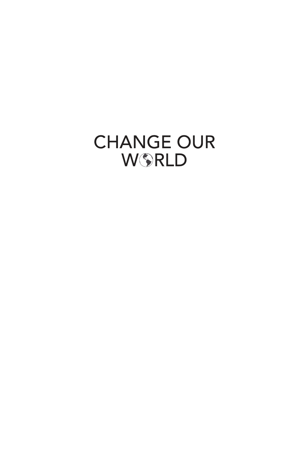# **CHANGE OUR** WSRLD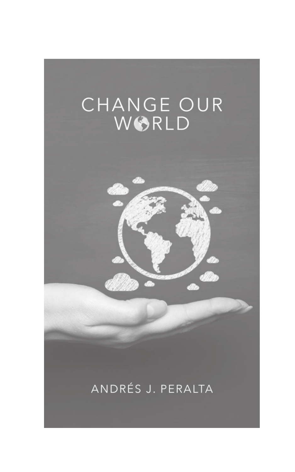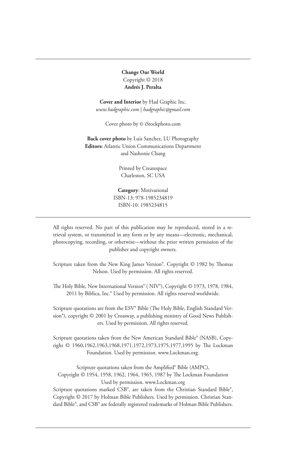**Change Our World**  Copyright © 2018 **Andrés J. Peralta**

**Cover and Interior** by Had Graphic Inc. *www.hadgraphic.com* | *hadgraphic@gmail.com*

Cover photo by © iStockphoto.com

**Back cover photo** by Luis Sanchez, LU Photography **Editors:** Atlantic Union Communications Department and Nashonie Chang

> Printed by Createspace Charleston, SC USA

**Category**: Motivational ISBN-13: 978-1985234819 ISBN-10: 1985234815

All rights reserved. No part of this publication may be reproduced, stored in a retrieval system, or transmitted in any form or by any means—electronic, mechanical, photocopying, recording, or otherwise—without the prior written permission of the publisher and copyright owners.

Scripture taken from the New King James Version®. Copyright © 1982 by Thomas Nelson. Used by permission. All rights reserved.

The Holy Bible, New International Version® ( NIV®), Copyright © 1973, 1978, 1984, 2011 by Biblica, Inc.® Used by permission. All rights reserved worldwide.

Scripture quotations are from the ESV® Bible (The Holy Bible, English Standard Version®), copyright © 2001 by Crossway, a publishing ministry of Good News Publishers. Used by permission. All rights reserved.

Scripture quotations taken from the New American Standard Bible® (NASB), Copyright © 1960,1962,1963,1968,1971,1972,1973,1975,1977,1995 by The Lockman Foundation. Used by permission. www.Lockman.org.

Scripture quotations taken from the Amplified® Bible (AMPC), Copyright © 1954, 1958, 1962, 1964, 1965, 1987 by The Lockman Foundation Used by permission. www.Lockman.org

Scripture quotations marked CSB®, are taken from the Christian Standard Bible®, Copyright © 2017 by Holman Bible Publishers. Used by permission. Christian Standard Bible®, and CSB® are federally registered trademarks of Holman Bible Publishers.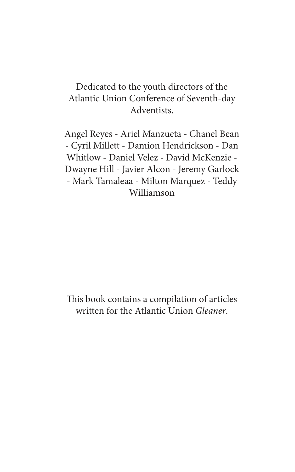### Dedicated to the youth directors of the Atlantic Union Conference of Seventh-day Adventists.

Angel Reyes - Ariel Manzueta - Chanel Bean - Cyril Millett - Damion Hendrickson - Dan Whitlow - Daniel Velez - David McKenzie - Dwayne Hill - Javier Alcon - Jeremy Garlock - Mark Tamaleaa - Milton Marquez - Teddy Williamson

This book contains a compilation of articles written for the Atlantic Union Gleaner.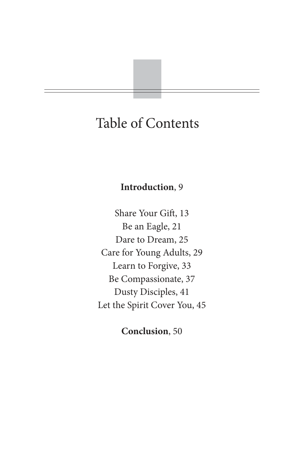# Table of Contents

#### **Introduction**, 9

Share Your Gift, 13 Be an Eagle, 21 Dare to Dream, 25 Care for Young Adults, 29 Learn to Forgive, 33 Be Compassionate, 37 Dusty Disciples, 41 Let the Spirit Cover You, 45

**Conclusion**, 50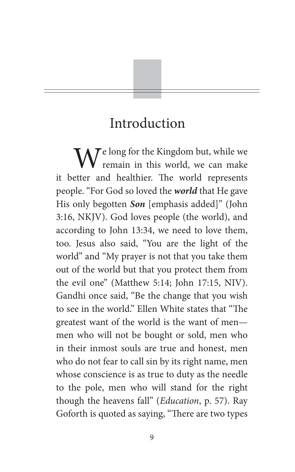# Introduction

 $\mathbf{W}^{\text{e long for the Kingdom but, while we}$ remain in this world, we can make it better and healthier. The world represents people. "For God so loved the **world** that He gave His only begotten **Son** [emphasis added]" (John 3:16, NKJV). God loves people (the world), and according to John 13:34, we need to love them, too. Jesus also said, "You are the light of the world" and "My prayer is not that you take them out of the world but that you protect them from the evil one" (Matthew 5:14; John 17:15, NIV). Gandhi once said, "Be the change that you wish to see in the world." Ellen White states that "The greatest want of the world is the want of men men who will not be bought or sold, men who in their inmost souls are true and honest, men who do not fear to call sin by its right name, men whose conscience is as true to duty as the needle to the pole, men who will stand for the right though the heavens fall" (Education, p. 57). Ray Goforth is quoted as saying, "There are two types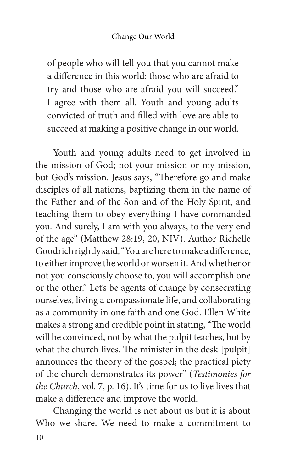of people who will tell you that you cannot make a difference in this world: those who are afraid to try and those who are afraid you will succeed." I agree with them all. Youth and young adults convicted of truth and filled with love are able to succeed at making a positive change in our world.

Youth and young adults need to get involved in the mission of God; not your mission or my mission, but God's mission. Jesus says, "Therefore go and make disciples of all nations, baptizing them in the name of the Father and of the Son and of the Holy Spirit, and teaching them to obey everything I have commanded you. And surely, I am with you always, to the very end of the age" (Matthew 28:19, 20, NIV). Author Richelle Goodrich rightly said, "You are here to make a difference, to either improve the world or worsen it. And whether or not you consciously choose to, you will accomplish one or the other." Let's be agents of change by consecrating ourselves, living a compassionate life, and collaborating as a community in one faith and one God. Ellen White makes a strong and credible point in stating, "The world will be convinced, not by what the pulpit teaches, but by what the church lives. The minister in the desk [pulpit] announces the theory of the gospel; the practical piety of the church demonstrates its power" (Testimonies for the Church, vol. 7, p. 16). It's time for us to live lives that make a difference and improve the world.

Changing the world is not about us but it is about Who we share. We need to make a commitment to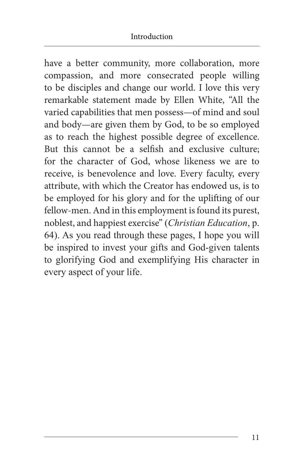have a better community, more collaboration, more compassion, and more consecrated people willing to be disciples and change our world. I love this very remarkable statement made by Ellen White, "All the varied capabilities that men possess—of mind and soul and body—are given them by God, to be so employed as to reach the highest possible degree of excellence. But this cannot be a selfish and exclusive culture; for the character of God, whose likeness we are to receive, is benevolence and love. Every faculty, every attribute, with which the Creator has endowed us, is to be employed for his glory and for the uplifting of our fellow-men. And in this employment is found its purest, noblest, and happiest exercise" (*Christian Education*, p. 64). As you read through these pages, I hope you will be inspired to invest your gifts and God-given talents to glorifying God and exemplifying His character in every aspect of your life.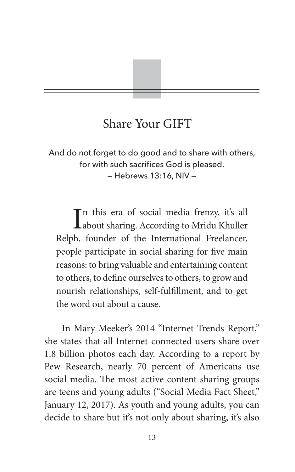# Share Your GIFT

And do not forget to do good and to share with others, for with such sacrifices God is pleased. — Hebrews 13:16, NIV —

In this era of social media frenzy, it's all<br>about sharing. According to Mridu Khuller Tn this era of social media frenzy, it's all Relph, founder of the International Freelancer, people participate in social sharing for five main reasons: to bring valuable and entertaining content to others, to define ourselves to others, to grow and nourish relationships, self-fulfillment, and to get the word out about a cause.

In Mary Meeker's 2014 "Internet Trends Report," she states that all Internet-connected users share over 1.8 billion photos each day. According to a report by Pew Research, nearly 70 percent of Americans use social media. The most active content sharing groups are teens and young adults ("Social Media Fact Sheet," January 12, 2017). As youth and young adults, you can decide to share but it's not only about sharing, it's also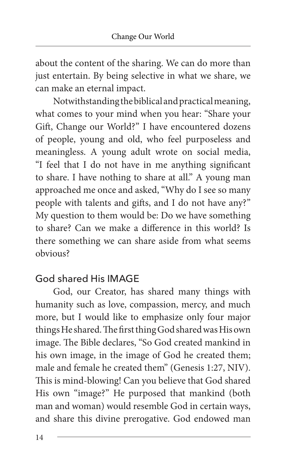about the content of the sharing. We can do more than just entertain. By being selective in what we share, we can make an eternal impact.

Notwithstanding the biblical and practical meaning, what comes to your mind when you hear: "Share your Gift, Change our World?" I have encountered dozens of people, young and old, who feel purposeless and meaningless. A young adult wrote on social media, "I feel that I do not have in me anything significant to share. I have nothing to share at all." A young man approached me once and asked, "Why do I see so many people with talents and gifts, and I do not have any?" My question to them would be: Do we have something to share? Can we make a difference in this world? Is there something we can share aside from what seems obvious?

### God shared His IMAGE

God, our Creator, has shared many things with humanity such as love, compassion, mercy, and much more, but I would like to emphasize only four major things He shared. The first thing God shared was His own image. The Bible declares, "So God created mankind in his own image, in the image of God he created them; male and female he created them" (Genesis 1:27, NIV). This is mind-blowing! Can you believe that God shared His own "image?" He purposed that mankind (both man and woman) would resemble God in certain ways, and share this divine prerogative. God endowed man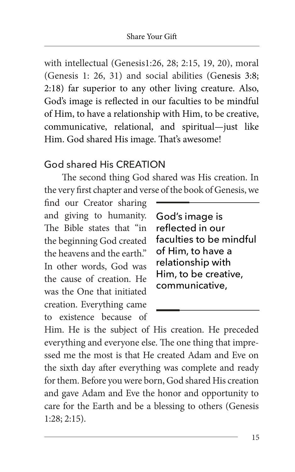with intellectual (Genesis1:26, 28; 2:15, 19, 20), moral (Genesis 1: 26, 31) and social abilities (Genesis 3:8; 2:18) far superior to any other living creature. Also, God's image is reflected in our faculties to be mindful of Him, to have a relationship with Him, to be creative, communicative, relational, and spiritual—just like Him. God shared His image. That's awesome!

### God shared His CREATION

The second thing God shared was His creation. In the very first chapter and verse of the book of Genesis, we

find our Creator sharing and giving to humanity. The Bible states that "in the beginning God created the heavens and the earth." In other words, God was the cause of creation. He was the One that initiated creation. Everything came to existence because of

God's image is reflected in our faculties to be mindful of Him, to have a relationship with Him, to be creative, communicative,

Him. He is the subject of His creation. He preceded everything and everyone else. The one thing that impressed me the most is that He created Adam and Eve on the sixth day after everything was complete and ready for them. Before you were born, God shared His creation and gave Adam and Eve the honor and opportunity to care for the Earth and be a blessing to others (Genesis 1:28; 2:15).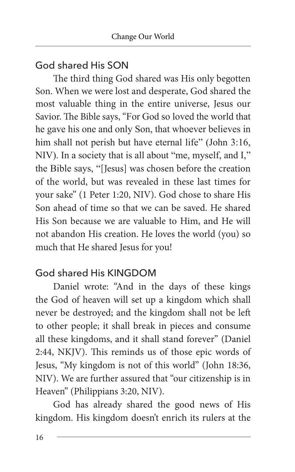### God shared His SON

The third thing God shared was His only begotten Son. When we were lost and desperate, God shared the most valuable thing in the entire universe, Jesus our Savior. The Bible says, "For God so loved the world that he gave his one and only Son, that whoever believes in him shall not perish but have eternal life" (John 3:16, NIV). In a society that is all about "me, myself, and I," the Bible says, "[Jesus] was chosen before the creation of the world, but was revealed in these last times for your sake" (1 Peter 1:20, NIV). God chose to share His Son ahead of time so that we can be saved. He shared His Son because we are valuable to Him, and He will not abandon His creation. He loves the world (you) so much that He shared Jesus for you!

### God shared His KINGDOM

Daniel wrote: "And in the days of these kings the God of heaven will set up a kingdom which shall never be destroyed; and the kingdom shall not be left to other people; it shall break in pieces and consume all these kingdoms, and it shall stand forever" (Daniel 2:44, NKJV). This reminds us of those epic words of Jesus, "My kingdom is not of this world" (John 18:36, NIV). We are further assured that "our citizenship is in Heaven" (Philippians 3:20, NIV).

God has already shared the good news of His kingdom. His kingdom doesn't enrich its rulers at the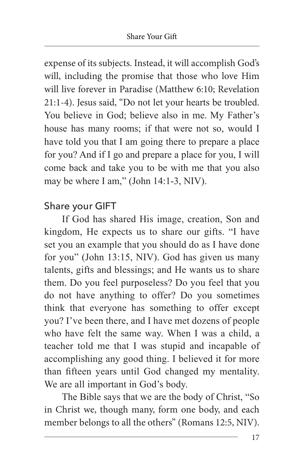expense of its subjects. Instead, it will accomplish God's will, including the promise that those who love Him will live forever in Paradise (Matthew 6:10; Revelation 21:1-4). Jesus said, "Do not let your hearts be troubled. You believe in God; believe also in me. My Father's house has many rooms; if that were not so, would I have told you that I am going there to prepare a place for you? And if I go and prepare a place for you, I will come back and take you to be with me that you also may be where I am," (John 14:1-3, NIV).

### Share your GIFT

If God has shared His image, creation, Son and kingdom, He expects us to share our gifts. "I have set you an example that you should do as I have done for you" (John 13:15, NIV). God has given us many talents, gifts and blessings; and He wants us to share them. Do you feel purposeless? Do you feel that you do not have anything to offer? Do you sometimes think that everyone has something to offer except you? I've been there, and I have met dozens of people who have felt the same way. When I was a child, a teacher told me that I was stupid and incapable of accomplishing any good thing. I believed it for more than fifteen years until God changed my mentality. We are all important in God's body.

The Bible says that we are the body of Christ, "So in Christ we, though many, form one body, and each member belongs to all the others" (Romans 12:5, NIV).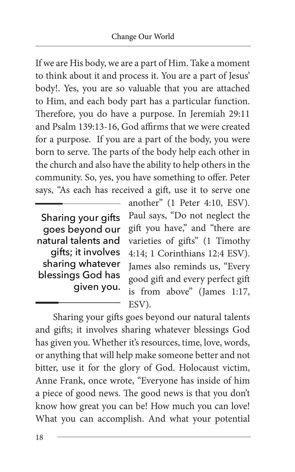If we are His body, we are a part of Him. Take a moment to think about it and process it. You are a part of Jesus' body!. Yes, you are so valuable that you are attached to Him, and each body part has a particular function. Therefore, you do have a purpose. In Jeremiah 29:11 and Psalm 139:13-16, God affirms that we were created for a purpose. If you are a part of the body, you were born to serve. The parts of the body help each other in the church and also have the ability to help others in the community. So, yes, you have something to offer. Peter says, "As each has received a gift, use it to serve one

Sharing your gifts goes beyond our natural talents and gifts; it involves sharing whatever blessings God has given you.

another" (1 Peter 4:10, ESV). Paul says, "Do not neglect the gift you have," and "there are varieties of gifts" (1 Timothy 4:14; 1 Corinthians 12:4 ESV). James also reminds us, "Every good gift and every perfect gift is from above" (James 1:17, ESV).

Sharing your gifts goes beyond our natural talents and gifts; it involves sharing whatever blessings God has given you. Whether it's resources, time, love, words, or anything that will help make someone better and not bitter, use it for the glory of God. Holocaust victim, Anne Frank, once wrote, "Everyone has inside of him a piece of good news. The good news is that you don't know how great you can be! How much you can love! What you can accomplish. And what your potential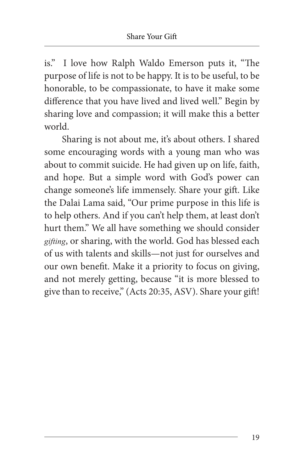is." I love how Ralph Waldo Emerson puts it, "The purpose of life is not to be happy. It is to be useful, to be honorable, to be compassionate, to have it make some difference that you have lived and lived well." Begin by sharing love and compassion; it will make this a better world.

Sharing is not about me, it's about others. I shared some encouraging words with a young man who was about to commit suicide. He had given up on life, faith, and hope. But a simple word with God's power can change someone's life immensely. Share your gift. Like the Dalai Lama said, "Our prime purpose in this life is to help others. And if you can't help them, at least don't hurt them." We all have something we should consider *gifting*, or sharing, with the world. God has blessed each of us with talents and skills—not just for ourselves and our own benefit. Make it a priority to focus on giving, and not merely getting, because "it is more blessed to give than to receive," (Acts 20:35, ASV). Share your gift!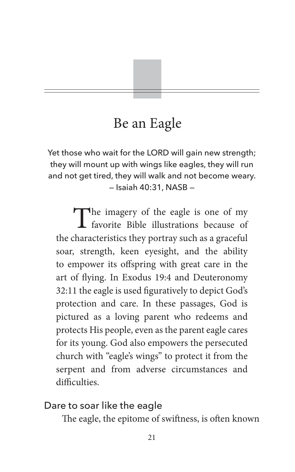# Be an Eagle

Yet those who wait for the LORD will gain new strength; they will mount up with wings like eagles, they will run and not get tired, they will walk and not become weary. — Isaiah 40:31, NASB —

The imagery of the eagle is one of my<br>favorite Bible illustrations because of favorite Bible illustrations because of the characteristics they portray such as a graceful soar, strength, keen eyesight, and the ability to empower its offspring with great care in the art of flying. In Exodus 19:4 and Deuteronomy 32:11 the eagle is used figuratively to depict God's protection and care. In these passages, God is pictured as a loving parent who redeems and protects His people, even as the parent eagle cares for its young. God also empowers the persecuted church with "eagle's wings" to protect it from the serpent and from adverse circumstances and difficulties.

#### Dare to soar like the eagle

The eagle, the epitome of swiftness, is often known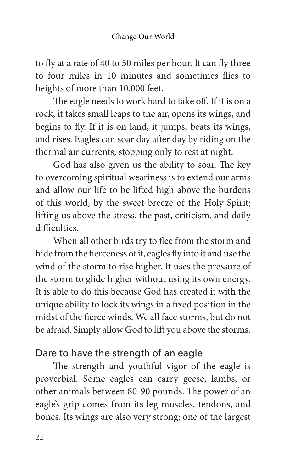to fly at a rate of 40 to 50 miles per hour. It can fly three to four miles in 10 minutes and sometimes flies to heights of more than 10,000 feet.

The eagle needs to work hard to take off. If it is on a rock, it takes small leaps to the air, opens its wings, and begins to fly. If it is on land, it jumps, beats its wings, and rises. Eagles can soar day after day by riding on the thermal air currents, stopping only to rest at night.

God has also given us the ability to soar. The key to overcoming spiritual weariness is to extend our arms and allow our life to be lifted high above the burdens of this world, by the sweet breeze of the Holy Spirit; lifting us above the stress, the past, criticism, and daily difficulties.

When all other birds try to flee from the storm and hide from the fierceness of it, eagles fly into it and use the wind of the storm to rise higher. It uses the pressure of the storm to glide higher without using its own energy. It is able to do this because God has created it with the unique ability to lock its wings in a fixed position in the midst of the fierce winds. We all face storms, but do not be afraid. Simply allow God to lift you above the storms.

### Dare to have the strength of an eagle

The strength and youthful vigor of the eagle is proverbial. Some eagles can carry geese, lambs, or other animals between 80-90 pounds. The power of an eagle's grip comes from its leg muscles, tendons, and bones. Its wings are also very strong; one of the largest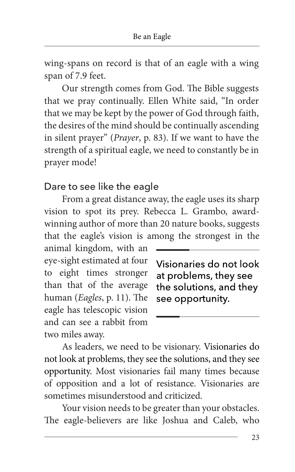wing-spans on record is that of an eagle with a wing span of 7.9 feet.

Our strength comes from God. The Bible suggests that we pray continually. Ellen White said, "In order that we may be kept by the power of God through faith, the desires of the mind should be continually ascending in silent prayer" (Prayer, p. 83). If we want to have the strength of a spiritual eagle, we need to constantly be in prayer mode!

#### Dare to see like the eagle

From a great distance away, the eagle uses its sharp vision to spot its prey. Rebecca L. Grambo, awardwinning author of more than 20 nature books, suggests that the eagle's vision is among the strongest in the

animal kingdom, with an eye-sight estimated at four to eight times stronger than that of the average human (Eagles, p. 11). The eagle has telescopic vision and can see a rabbit from two miles away.

Visionaries do not look at problems, they see the solutions, and they see opportunity.

As leaders, we need to be visionary. Visionaries do not look at problems, they see the solutions, and they see opportunity. Most visionaries fail many times because of opposition and a lot of resistance. Visionaries are sometimes misunderstood and criticized.

Your vision needs to be greater than your obstacles. The eagle-believers are like Joshua and Caleb, who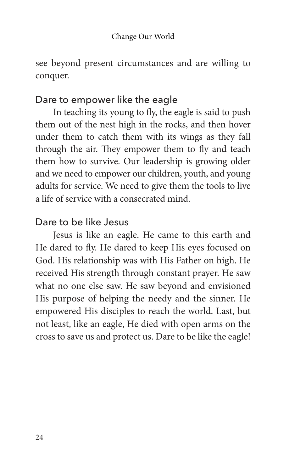see beyond present circumstances and are willing to conquer.

### Dare to empower like the eagle

In teaching its young to fly, the eagle is said to push them out of the nest high in the rocks, and then hover under them to catch them with its wings as they fall through the air. They empower them to fly and teach them how to survive. Our leadership is growing older and we need to empower our children, youth, and young adults for service. We need to give them the tools to live a life of service with a consecrated mind.

### Dare to be like Jesus

Jesus is like an eagle. He came to this earth and He dared to fly. He dared to keep His eyes focused on God. His relationship was with His Father on high. He received His strength through constant prayer. He saw what no one else saw. He saw beyond and envisioned His purpose of helping the needy and the sinner. He empowered His disciples to reach the world. Last, but not least, like an eagle, He died with open arms on the cross to save us and protect us. Dare to be like the eagle!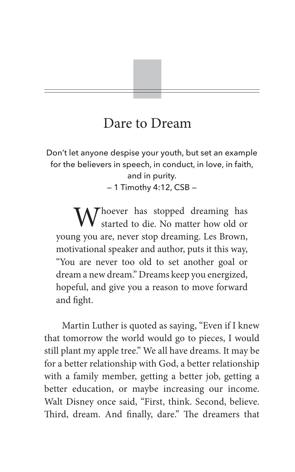# Dare to Dream

Don't let anyone despise your youth, but set an example for the believers in speech, in conduct, in love, in faith, and in purity. — 1 Timothy 4:12, CSB —

Whoever has stopped dreaming has started to die. No matter how old or young you are, never stop dreaming. Les Brown, motivational speaker and author, puts it this way, "You are never too old to set another goal or dream a new dream." Dreams keep you energized, hopeful, and give you a reason to move forward and fight.

Martin Luther is quoted as saying, "Even if I knew that tomorrow the world would go to pieces, I would still plant my apple tree." We all have dreams. It may be for a better relationship with God, a better relationship with a family member, getting a better job, getting a better education, or maybe increasing our income. Walt Disney once said, "First, think. Second, believe. Third, dream. And finally, dare." The dreamers that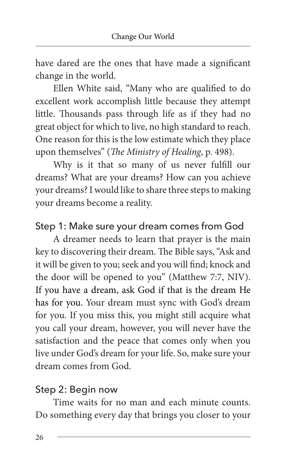have dared are the ones that have made a significant change in the world.

Ellen White said, "Many who are qualified to do excellent work accomplish little because they attempt little. Thousands pass through life as if they had no great object for which to live, no high standard to reach. One reason for this is the low estimate which they place upon themselves" (The Ministry of Healing, p. 498).

Why is it that so many of us never fulfill our dreams? What are your dreams? How can you achieve your dreams? I would like to share three steps to making your dreams become a reality.

### Step 1: Make sure your dream comes from God

A dreamer needs to learn that prayer is the main key to discovering their dream. The Bible says, "Ask and it will be given to you; seek and you will find; knock and the door will be opened to you" (Matthew 7:7, NIV). If you have a dream, ask God if that is the dream He has for you. Your dream must sync with God's dream for you. If you miss this, you might still acquire what you call your dream, however, you will never have the satisfaction and the peace that comes only when you live under God's dream for your life. So, make sure your dream comes from God.

### Step 2: Begin now

Time waits for no man and each minute counts. Do something every day that brings you closer to your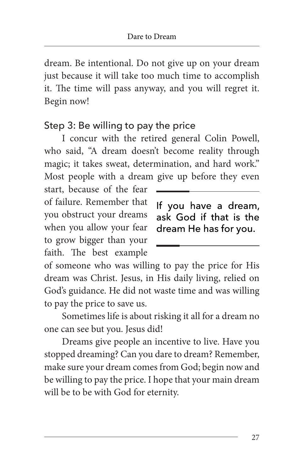dream. Be intentional. Do not give up on your dream just because it will take too much time to accomplish it. The time will pass anyway, and you will regret it. Begin now!

### Step 3: Be willing to pay the price

I concur with the retired general Colin Powell, who said, "A dream doesn't become reality through magic; it takes sweat, determination, and hard work." Most people with a dream give up before they even

start, because of the fear of failure. Remember that you obstruct your dreams when you allow your fear to grow bigger than your faith. The best example

If you have a dream, ask God if that is the dream He has for you.

of someone who was willing to pay the price for His dream was Christ. Jesus, in His daily living, relied on God's guidance. He did not waste time and was willing to pay the price to save us.

Sometimes life is about risking it all for a dream no one can see but you. Jesus did!

Dreams give people an incentive to live. Have you stopped dreaming? Can you dare to dream? Remember, make sure your dream comes from God; begin now and be willing to pay the price. I hope that your main dream will be to be with God for eternity.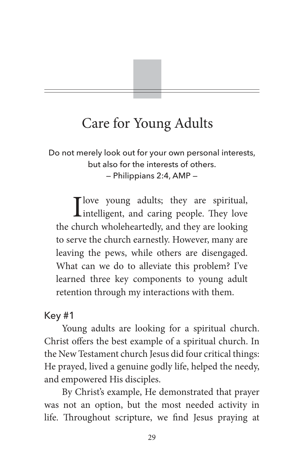# Care for Young Adults

Do not merely look out for your own personal interests, but also for the interests of others. — Philippians 2:4, AMP —

I love young adults; they are spiritual,<br>intelligent, and caring people. They love the church wholeheartedly, and they are looking to serve the church earnestly. However, many are leaving the pews, while others are disengaged. What can we do to alleviate this problem? I've learned three key components to young adult retention through my interactions with them.

### Key #1

Young adults are looking for a spiritual church. Christ offers the best example of a spiritual church. In the New Testament church Jesus did four critical things: He prayed, lived a genuine godly life, helped the needy, and empowered His disciples.

By Christ's example, He demonstrated that prayer was not an option, but the most needed activity in life. Throughout scripture, we find Jesus praying at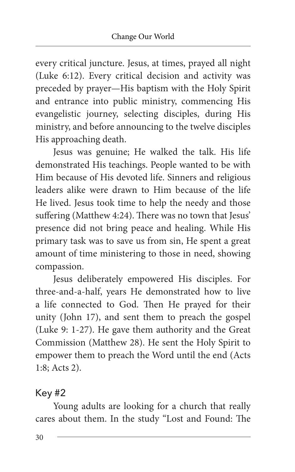every critical juncture. Jesus, at times, prayed all night (Luke 6:12). Every critical decision and activity was preceded by prayer—His baptism with the Holy Spirit and entrance into public ministry, commencing His evangelistic journey, selecting disciples, during His ministry, and before announcing to the twelve disciples His approaching death.

Jesus was genuine; He walked the talk. His life demonstrated His teachings. People wanted to be with Him because of His devoted life. Sinners and religious leaders alike were drawn to Him because of the life He lived. Jesus took time to help the needy and those suffering (Matthew 4:24). There was no town that Jesus' presence did not bring peace and healing. While His primary task was to save us from sin, He spent a great amount of time ministering to those in need, showing compassion.

Jesus deliberately empowered His disciples. For three-and-a-half, years He demonstrated how to live a life connected to God. Then He prayed for their unity (John 17), and sent them to preach the gospel (Luke 9: 1-27). He gave them authority and the Great Commission (Matthew 28). He sent the Holy Spirit to empower them to preach the Word until the end (Acts 1:8; Acts 2).

### Key #2

Young adults are looking for a church that really cares about them. In the study "Lost and Found: The

30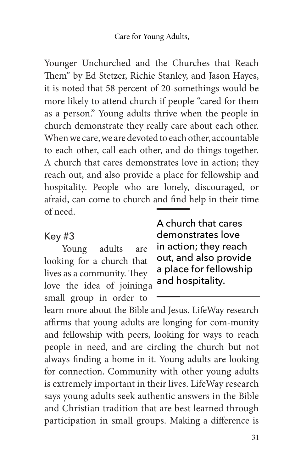Younger Unchurched and the Churches that Reach Them" by Ed Stetzer, Richie Stanley, and Jason Hayes, it is noted that 58 percent of 20-somethings would be more likely to attend church if people "cared for them as a person." Young adults thrive when the people in church demonstrate they really care about each other. When we care, we are devoted to each other, accountable to each other, call each other, and do things together. A church that cares demonstrates love in action; they reach out, and also provide a place for fellowship and hospitality. People who are lonely, discouraged, or afraid, can come to church and find help in their time of need.

### Key #3

Young adults are looking for a church that lives as a community. They love the idea of joining a small group in order to

A church that cares demonstrates love in action; they reach out, and also provide a place for fellowship and hospitality.

learn more about the Bible and Jesus. LifeWay research affirms that young adults are longing for com-munity and fellowship with peers, looking for ways to reach people in need, and are circling the church but not always finding a home in it. Young adults are looking for connection. Community with other young adults is extremely important in their lives. LifeWay research says young adults seek authentic answers in the Bible and Christian tradition that are best learned through participation in small groups. Making a difference is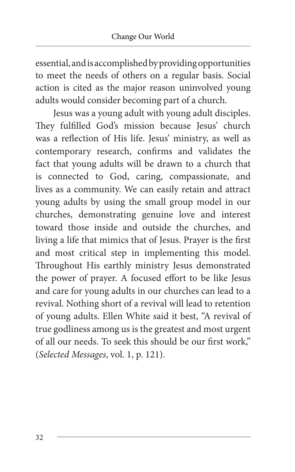essential, and is accomplished by providing opportunities to meet the needs of others on a regular basis. Social action is cited as the major reason uninvolved young adults would consider becoming part of a church.

Jesus was a young adult with young adult disciples. They fulfilled God's mission because Jesus' church was a reflection of His life. Jesus' ministry, as well as contemporary research, confirms and validates the fact that young adults will be drawn to a church that is connected to God, caring, compassionate, and lives as a community. We can easily retain and attract young adults by using the small group model in our churches, demonstrating genuine love and interest toward those inside and outside the churches, and living a life that mimics that of Jesus. Prayer is the first and most critical step in implementing this model. Throughout His earthly ministry Jesus demonstrated the power of prayer. A focused effort to be like Jesus and care for young adults in our churches can lead to a revival. Nothing short of a revival will lead to retention of young adults. Ellen White said it best, "A revival of true godliness among us is the greatest and most urgent of all our needs. To seek this should be our first work," (Selected Messages, vol. 1, p. 121).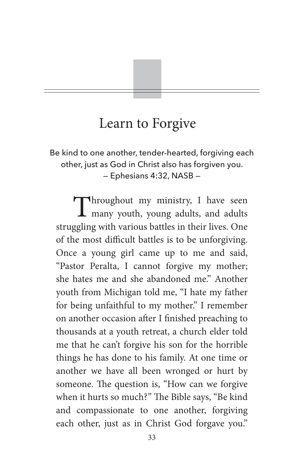# Learn to Forgive

Be kind to one another, tender-hearted, forgiving each other, just as God in Christ also has forgiven you. — Ephesians 4:32, NASB —

Throughout my ministry, I have seen<br>many youth, young adults, and adults many youth, young adults, and adults struggling with various battles in their lives. One of the most difficult battles is to be unforgiving. Once a young girl came up to me and said, "Pastor Peralta, I cannot forgive my mother; she hates me and she abandoned me." Another youth from Michigan told me, "I hate my father for being unfaithful to my mother." I remember on another occasion after I finished preaching to thousands at a youth retreat, a church elder told me that he can't forgive his son for the horrible things he has done to his family. At one time or another we have all been wronged or hurt by someone. The question is, "How can we forgive when it hurts so much?" The Bible says, "Be kind and compassionate to one another, forgiving each other, just as in Christ God forgave you."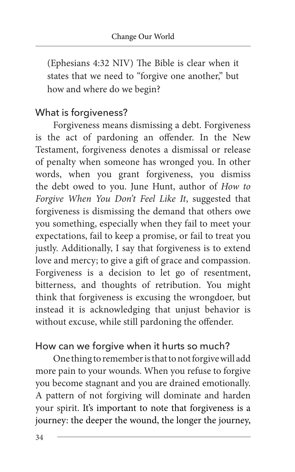(Ephesians 4:32 NIV) The Bible is clear when it states that we need to "forgive one another," but how and where do we begin?

### What is forgiveness?

Forgiveness means dismissing a debt. Forgiveness is the act of pardoning an offender. In the New Testament, forgiveness denotes a dismissal or release of penalty when someone has wronged you. In other words, when you grant forgiveness, you dismiss the debt owed to you. June Hunt, author of How to Forgive When You Don't Feel Like It, suggested that forgiveness is dismissing the demand that others owe you something, especially when they fail to meet your expectations, fail to keep a promise, or fail to treat you justly. Additionally, I say that forgiveness is to extend love and mercy; to give a gift of grace and compassion. Forgiveness is a decision to let go of resentment, bitterness, and thoughts of retribution. You might think that forgiveness is excusing the wrongdoer, but instead it is acknowledging that unjust behavior is without excuse, while still pardoning the offender.

### How can we forgive when it hurts so much?

One thing to remember is that to not forgive will add more pain to your wounds. When you refuse to forgive you become stagnant and you are drained emotionally. A pattern of not forgiving will dominate and harden your spirit. It's important to note that forgiveness is a journey: the deeper the wound, the longer the journey,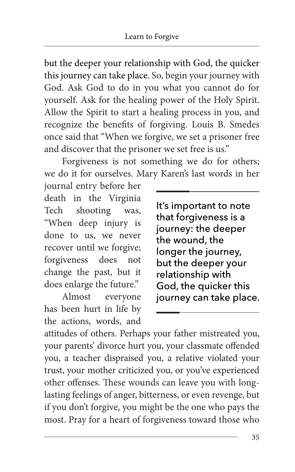but the deeper your relationship with God, the quicker this journey can take place. So, begin your journey with God. Ask God to do in you what you cannot do for yourself. Ask for the healing power of the Holy Spirit. Allow the Spirit to start a healing process in you, and recognize the benefits of forgiving. Louis B. Smedes once said that "When we forgive, we set a prisoner free and discover that the prisoner we set free is us."

Forgiveness is not something we do for others; we do it for ourselves. Mary Karen's last words in her

journal entry before her death in the Virginia Tech shooting was, "When deep injury is done to us, we never recover until we forgive; forgiveness does not change the past, but it does enlarge the future."

Almost everyone has been hurt in life by the actions, words, and

It's important to note that forgiveness is a journey: the deeper the wound, the longer the journey, but the deeper your relationship with God, the quicker this journey can take place.

attitudes of others. Perhaps your father mistreated you, your parents' divorce hurt you, your classmate offended you, a teacher dispraised you, a relative violated your trust, your mother criticized you, or you've experienced other offenses. These wounds can leave you with longlasting feelings of anger, bitterness, or even revenge, but if you don't forgive, you might be the one who pays the most. Pray for a heart of forgiveness toward those who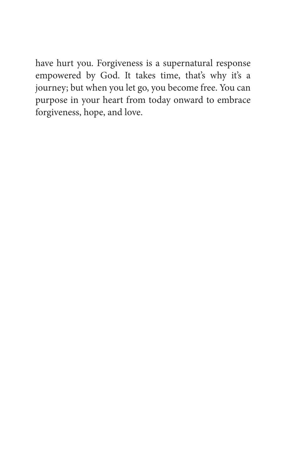have hurt you. Forgiveness is a supernatural response empowered by God. It takes time, that's why it's a journey; but when you let go, you become free. You can purpose in your heart from today onward to embrace forgiveness, hope, and love.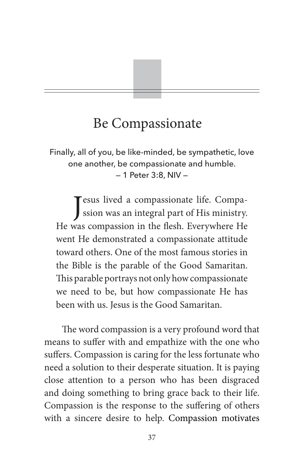# Be Compassionate

Finally, all of you, be like-minded, be sympathetic, love one another, be compassionate and humble. — 1 Peter 3:8, NIV —

J esus lived a compassionate life. Compassion was an integral part of His ministry. He was compassion in the flesh. Everywhere He went He demonstrated a compassionate attitude toward others. One of the most famous stories in the Bible is the parable of the Good Samaritan. This parable portrays not only how compassionate we need to be, but how compassionate He has been with us. Jesus is the Good Samaritan.

The word compassion is a very profound word that means to suffer with and empathize with the one who suffers. Compassion is caring for the less fortunate who need a solution to their desperate situation. It is paying close attention to a person who has been disgraced and doing something to bring grace back to their life. Compassion is the response to the suffering of others with a sincere desire to help. Compassion motivates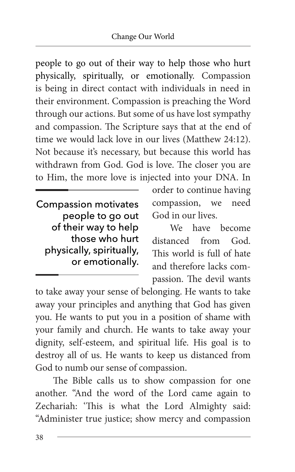people to go out of their way to help those who hurt physically, spiritually, or emotionally. Compassion is being in direct contact with individuals in need in their environment. Compassion is preaching the Word through our actions. But some of us have lost sympathy and compassion. The Scripture says that at the end of time we would lack love in our lives (Matthew 24:12). Not because it's necessary, but because this world has withdrawn from God. God is love. The closer you are to Him, the more love is injected into your DNA. In

**Compassion motivates** people to go out of their way to help those who hurt physically, spiritually, or emotionally.

order to continue having compassion, we need God in our lives.

We have become distanced from God. This world is full of hate and therefore lacks compassion. The devil wants

to take away your sense of belonging. He wants to take away your principles and anything that God has given you. He wants to put you in a position of shame with your family and church. He wants to take away your dignity, self-esteem, and spiritual life. His goal is to destroy all of us. He wants to keep us distanced from God to numb our sense of compassion.

The Bible calls us to show compassion for one another. "And the word of the Lord came again to Zechariah: 'This is what the Lord Almighty said: "Administer true justice; show mercy and compassion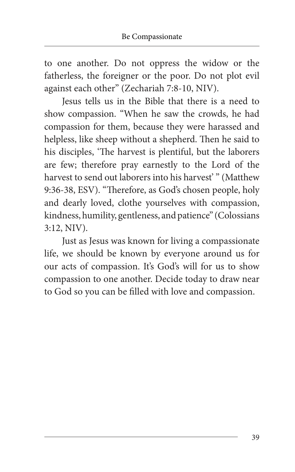to one another. Do not oppress the widow or the fatherless, the foreigner or the poor. Do not plot evil against each other" (Zechariah 7:8-10, NIV).

Jesus tells us in the Bible that there is a need to show compassion. "When he saw the crowds, he had compassion for them, because they were harassed and helpless, like sheep without a shepherd. Then he said to his disciples, 'The harvest is plentiful, but the laborers are few; therefore pray earnestly to the Lord of the harvest to send out laborers into his harvest'" (Matthew 9:36-38, ESV). "Therefore, as God's chosen people, holy and dearly loved, clothe yourselves with compassion, kindness, humility, gentleness, and patience" (Colossians 3:12, NIV).

Just as Jesus was known for living a compassionate life, we should be known by everyone around us for our acts of compassion. It's God's will for us to show compassion to one another. Decide today to draw near to God so you can be filled with love and compassion.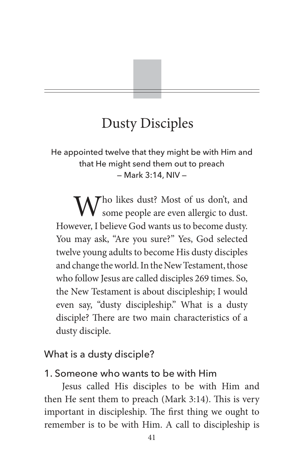# Dusty Disciples

He appointed twelve that they might be with Him and that He might send them out to preach — Mark 3:14, NIV —

Who likes dust? Most of us don't, and some people are even allergic to dust. However, I believe God wants us to become dusty. You may ask, "Are you sure?" Yes, God selected twelve young adults to become His dusty disciples and change the world. In the New Testament, those who follow Jesus are called disciples 269 times. So, the New Testament is about discipleship; I would even say, "dusty discipleship." What is a dusty disciple? There are two main characteristics of a dusty disciple.

### What is a dusty disciple?

#### 1. Someone who wants to be with Him

Jesus called His disciples to be with Him and then He sent them to preach (Mark 3:14). This is very important in discipleship. The first thing we ought to remember is to be with Him. A call to discipleship is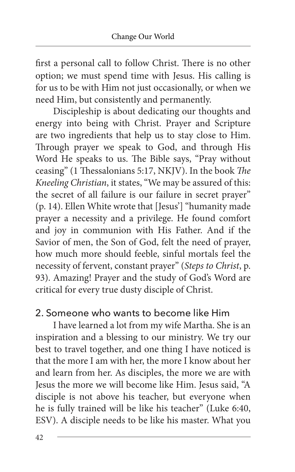first a personal call to follow Christ. There is no other option; we must spend time with Jesus. His calling is for us to be with Him not just occasionally, or when we need Him, but consistently and permanently.

Discipleship is about dedicating our thoughts and energy into being with Christ. Prayer and Scripture are two ingredients that help us to stay close to Him. Through prayer we speak to God, and through His Word He speaks to us. The Bible says, "Pray without ceasing" (1 Thessalonians 5:17, NKJV). In the book The Kneeling Christian, it states, "We may be assured of this: the secret of all failure is our failure in secret prayer" (p. 14). Ellen White wrote that [Jesus'] "humanity made prayer a necessity and a privilege. He found comfort and joy in communion with His Father. And if the Savior of men, the Son of God, felt the need of prayer, how much more should feeble, sinful mortals feel the necessity of fervent, constant prayer" (Steps to Christ, p. 93). Amazing! Prayer and the study of God's Word are critical for every true dusty disciple of Christ.

### 2. Someone who wants to become like Him

I have learned a lot from my wife Martha. She is an inspiration and a blessing to our ministry. We try our best to travel together, and one thing I have noticed is that the more I am with her, the more I know about her and learn from her. As disciples, the more we are with Jesus the more we will become like Him. Jesus said, "A disciple is not above his teacher, but everyone when he is fully trained will be like his teacher" (Luke 6:40, ESV). A disciple needs to be like his master. What you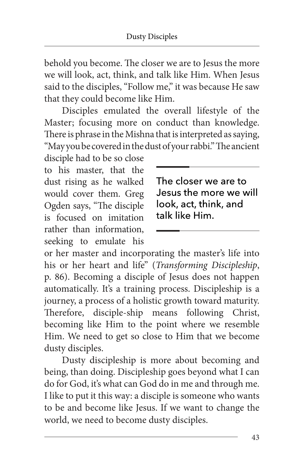behold you become. The closer we are to Jesus the more we will look, act, think, and talk like Him. When Jesus said to the disciples, "Follow me," it was because He saw that they could become like Him.

Disciples emulated the overall lifestyle of the Master; focusing more on conduct than knowledge. There is phrase in the Mishna that is interpreted as saying, "May you be covered in the dust of your rabbi." The ancient

disciple had to be so close to his master, that the dust rising as he walked would cover them. Greg Ogden says, "The disciple is focused on imitation rather than information, seeking to emulate his

The closer we are to Jesus the more we will look, act, think, and talk like Him

or her master and incorporating the master's life into his or her heart and life" (Transforming Discipleship, p. 86). Becoming a disciple of Jesus does not happen automatically. It's a training process. Discipleship is a journey, a process of a holistic growth toward maturity. Therefore, disciple-ship means following Christ, becoming like Him to the point where we resemble Him. We need to get so close to Him that we become dusty disciples.

Dusty discipleship is more about becoming and being, than doing. Discipleship goes beyond what I can do for God, it's what can God do in me and through me. I like to put it this way: a disciple is someone who wants to be and become like Jesus. If we want to change the world, we need to become dusty disciples.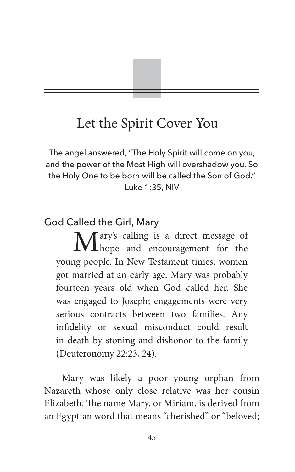# Let the Spirit Cover You

The angel answered, "The Holy Spirit will come on you, and the power of the Most High will overshadow you. So the Holy One to be born will be called the Son of God." — Luke 1:35, NIV —

### God Called the Girl, Mary

Mary's calling is a direct message of hope and encouragement for the young people. In New Testament times, women got married at an early age. Mary was probably fourteen years old when God called her. She was engaged to Joseph; engagements were very serious contracts between two families. Any infidelity or sexual misconduct could result in death by stoning and dishonor to the family (Deuteronomy 22:23, 24).

Mary was likely a poor young orphan from Nazareth whose only close relative was her cousin Elizabeth. The name Mary, or Miriam, is derived from an Egyptian word that means "cherished" or "beloved;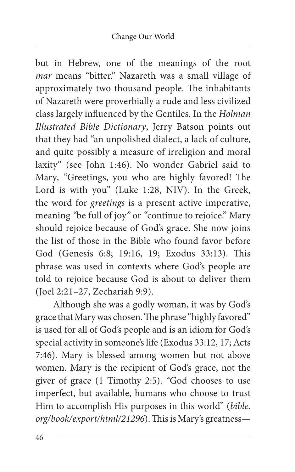but in Hebrew, one of the meanings of the root mar means "bitter." Nazareth was a small village of approximately two thousand people. The inhabitants of Nazareth were proverbially a rude and less civilized class largely influenced by the Gentiles. In the Holman Illustrated Bible Dictionary, Jerry Batson points out that they had "an unpolished dialect, a lack of culture, and quite possibly a measure of irreligion and moral laxity" (see John 1:46). No wonder Gabriel said to Mary, "Greetings, you who are highly favored! The Lord is with you" (Luke 1:28, NIV). In the Greek, the word for greetings is a present active imperative, meaning "be full of joy" or "continue to rejoice." Mary should rejoice because of God's grace. She now joins the list of those in the Bible who found favor before God (Genesis 6:8; 19:16, 19; Exodus 33:13). This phrase was used in contexts where God's people are told to rejoice because God is about to deliver them (Joel 2:21–27, Zechariah 9:9).

Although she was a godly woman, it was by God's grace that Mary was chosen. The phrase "highly favored" is used for all of God's people and is an idiom for God's special activity in someone's life (Exodus 33:12, 17; Acts 7:46). Mary is blessed among women but not above women. Mary is the recipient of God's grace, not the giver of grace (1 Timothy 2:5). "God chooses to use imperfect, but available, humans who choose to trust Him to accomplish His purposes in this world" (bible. org/book/export/html/21296). This is Mary's greatness—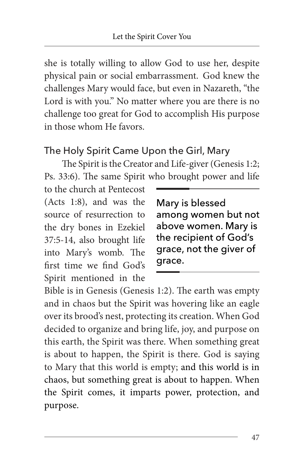she is totally willing to allow God to use her, despite physical pain or social embarrassment. God knew the challenges Mary would face, but even in Nazareth, "the Lord is with you." No matter where you are there is no challenge too great for God to accomplish His purpose in those whom He favors.

### The Holy Spirit Came Upon the Girl, Mary

The Spirit is the Creator and Life-giver (Genesis 1:2; Ps. 33:6). The same Spirit who brought power and life

to the church at Pentecost (Acts 1:8), and was the source of resurrection to the dry bones in Ezekiel 37:5-14, also brought life into Mary's womb. The first time we find God's Spirit mentioned in the

Mary is blessed among women but not above women. Mary is the recipient of God's grace, not the giver of qrace.

Bible is in Genesis (Genesis 1:2). The earth was empty and in chaos but the Spirit was hovering like an eagle over its brood's nest, protecting its creation. When God decided to organize and bring life, joy, and purpose on this earth, the Spirit was there. When something great is about to happen, the Spirit is there. God is saying to Mary that this world is empty; and this world is in chaos, but something great is about to happen. When the Spirit comes, it imparts power, protection, and purpose.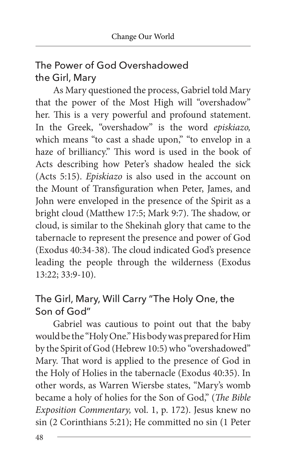## The Power of God Overshadowed the Girl, Mary

As Mary questioned the process, Gabriel told Mary that the power of the Most High will "overshadow" her. This is a very powerful and profound statement. In the Greek, "overshadow" is the word episkiazo, which means "to cast a shade upon," "to envelop in a haze of brilliancy." This word is used in the book of Acts describing how Peter's shadow healed the sick (Acts 5:15). Episkiazo is also used in the account on the Mount of Transfiguration when Peter, James, and John were enveloped in the presence of the Spirit as a bright cloud (Matthew 17:5; Mark 9:7). The shadow, or cloud, is similar to the Shekinah glory that came to the tabernacle to represent the presence and power of God (Exodus 40:34-38). The cloud indicated God's presence leading the people through the wilderness (Exodus 13:22; 33:9-10).

### The Girl, Mary, Will Carry "The Holy One, the Son of God"

Gabriel was cautious to point out that the baby would be the "Holy One." His body was prepared for Him by the Spirit of God (Hebrew 10:5) who "overshadowed" Mary. That word is applied to the presence of God in the Holy of Holies in the tabernacle (Exodus 40:35). In other words, as Warren Wiersbe states, "Mary's womb became a holy of holies for the Son of God," (The Bible Exposition Commentary, vol. 1, p. 172). Jesus knew no sin (2 Corinthians 5:21); He committed no sin (1 Peter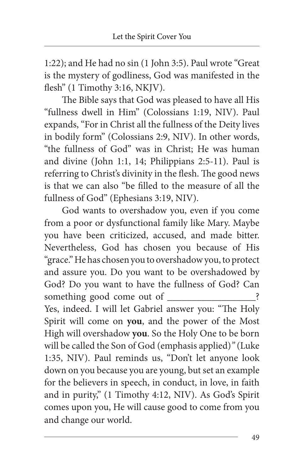1:22); and He had no sin (1 John 3:5). Paul wrote "Great is the mystery of godliness, God was manifested in the flesh" (1 Timothy 3:16, NKJV).

The Bible says that God was pleased to have all His "fullness dwell in Him" (Colossians 1:19, NIV). Paul expands, "For in Christ all the fullness of the Deity lives in bodily form" (Colossians 2:9, NIV). In other words, "the fullness of God" was in Christ; He was human and divine (John 1:1, 14; Philippians 2:5-11). Paul is referring to Christ's divinity in the flesh. The good news is that we can also "be filled to the measure of all the fullness of God" (Ephesians 3:19, NIV).

God wants to overshadow you, even if you come from a poor or dysfunctional family like Mary. Maybe you have been criticized, accused, and made bitter. Nevertheless, God has chosen you because of His "grace."He has chosen you to overshadow you, to protect and assure you. Do you want to be overshadowed by God? Do you want to have the fullness of God? Can something good come out of \_\_\_\_\_\_\_\_\_ Yes, indeed. I will let Gabriel answer you: "The Holy Spirit will come on **you**, and the power of the Most High will overshadow **you**. So the Holy One to be born will be called the Son of God (emphasis applied)" (Luke 1:35, NIV). Paul reminds us, "Don't let anyone look down on you because you are young, but set an example for the believers in speech, in conduct, in love, in faith and in purity," (1 Timothy 4:12, NIV). As God's Spirit comes upon you, He will cause good to come from you and change our world.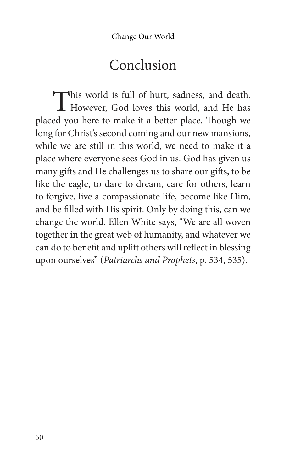# Conclusion

This world is full of hurt, sadness, and death.<br>However, God loves this world, and He has However, God loves this world, and He has placed you here to make it a better place. Though we long for Christ's second coming and our new mansions, while we are still in this world, we need to make it a place where everyone sees God in us. God has given us many gifts and He challenges us to share our gifts, to be like the eagle, to dare to dream, care for others, learn to forgive, live a compassionate life, become like Him, and be filled with His spirit. Only by doing this, can we change the world. Ellen White says, "We are all woven together in the great web of humanity, and whatever we can do to benefit and uplift others will reflect in blessing upon ourselves" (Patriarchs and Prophets, p. 534, 535).